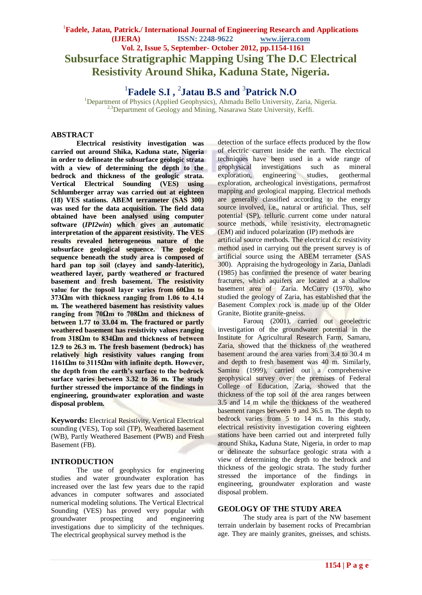# <sup>1</sup> Fadele, Jatau, Patrick./ International Journal of Engineering Research and Applications **(IJERA) ISSN: 2248-9622 www.ijera.com Vol. 2, Issue 5, September- October 2012, pp.1154-1161 Subsurface Stratigraphic Mapping Using The D.C Electrical Resistivity Around Shika, Kaduna State, Nigeria.**

1 **Fadele S.I ,**  2 **Jatau B.S and** <sup>3</sup>

<sup>1</sup>Department of Physics (Applied Geophysics), Ahmadu Bello University, Zaria, Nigeria. <sup>2,3</sup>Department of Geology and Mining, Nasarawa State University, Keffi.

#### **ABSTRACT**

**Electrical resistivity investigation was carried out around Shika, Kaduna state, Nigeria in order to delineate the subsurface geologic strata with a view of determining the depth to the bedrock and thickness of the geologic strata. Vertical Electrical Sounding (VES) using Schlumberger array was carried out at eighteen (18) VES stations. ABEM terrameter (SAS 300) was used for the data acquisition. The field data obtained have been analysed using computer software (***IPI2win***) which gives an automatic interpretation of the apparent resistivity. The VES results revealed heterogeneous nature of the subsurface geological sequence. The geologic sequence beneath the study area is composed of hard pan top soil (clayey and sandy-lateritic), weathered layer, partly weathered or fractured basement and fresh basement. The resistivity value for the topsoil layer varies from 60Ωm to 373Ωm with thickness ranging from 1.06 to 4.14 m. The weathered basement has resistivity values ranging from 70Ωm to 708Ωm and thickness of between 1.77 to 33.04 m. The fractured or partly weathered basement has resistivity values ranging from 318Ωm to 834Ωm and thickness of between 12.9 to 26.3 m. The fresh basement (bedrock) has relatively high resistivity values ranging from 1161Ωm to 3115Ωm with infinite depth. However, the depth from the earth's surface to the bedrock surface varies between 3.32 to 36 m. The study further stressed the importance of the findings in engineering, groundwater exploration and waste disposal problem.**

**Keywords:** Electrical Resistivity, Vertical Electrical sounding (VES), Top soil (TP), Weathered basement (WB), Partly Weathered Basement (PWB) and Fresh Basement (FB).

### **INTRODUCTION**

The use of geophysics for engineering studies and water groundwater exploration has increased over the last few years due to the rapid advances in computer softwares and associated numerical modeling solutions. The Vertical Electrical Sounding (VES) has proved very popular with groundwater prospecting and engineering investigations due to simplicity of the techniques. The electrical geophysical survey method is the

detection of the surface effects produced by the flow of electric current inside the earth. The electrical techniques have been used in a wide range of geophysical investigations such as mineral exploration, engineering studies, geothermal exploration, archeological investigations, permafrost mapping and geological mapping. Electrical methods are generally classified according to the energy source involved, i.e., natural or artificial. Thus, self potential (SP), telluric current come under natural source methods, while resistivity, electromagnetic (EM) and induced polarization (IP) methods are artificial source methods. The electrical d.c resistivity

method used in carrying out the present survey is of artificial source using the ABEM terrameter (SAS 300). Appraising the hydrogeology in Zaria, Danladi (1985) has confirmed the presence of water bearing fractures, which aquifers are located at a shallow basement area of Zaria. McCurry (1970), who studied the geology of Zaria, has established that the Basement Complex rock is made up of the Older Granite, Biotite granite-gneiss.

Farouq (2001), carried out geoelectric investigation of the groundwater potential in the Institute for Agricultural Research Farm, Samaru, Zaria, showed that the thickness of the weathered basement around the area varies from 3.4 to 30.4 m and depth to fresh basement was 40 m. Similarly, Saminu (1999), carried out a comprehensive geophysical survey over the premises of Federal College of Education, Zaria, showed that the thickness of the top soil of the area ranges between 3.5 and 14 m while the thickness of the weathered basement ranges between 9 and 36.5 m. The depth to bedrock varies from 5 to 14 m. In this study, electrical resistivity investigation covering eighteen stations have been carried out and interpreted fully around Shika**,** Kaduna State, Nigeria, in order to map or delineate the subsurface geologic strata with a view of determining the depth to the bedrock and thickness of the geologic strata. The study further stressed the importance of the findings in engineering, groundwater exploration and waste disposal problem.

#### **GEOLOGY OF THE STUDY AREA**

The study area is part of the NW basement terrain underlain by basement rocks of Precambrian age. They are mainly granites, gneisses, and schists.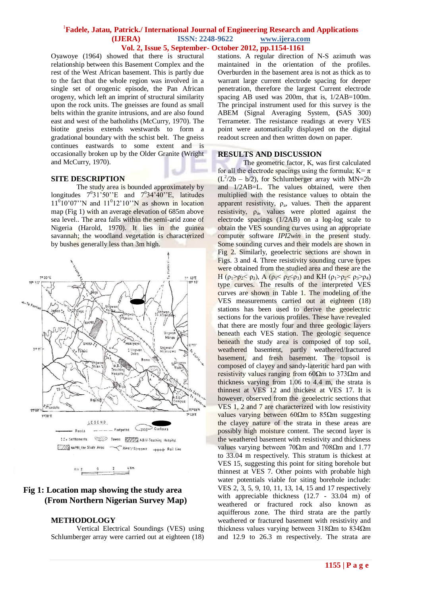Oyawoye (1964) showed that there is structural relationship between this Basement Complex and the rest of the West African basement. This is partly due to the fact that the whole region was involved in a single set of orogenic episode, the Pan African orogeny, which left an imprint of structural similarity upon the rock units. The gneisses are found as small belts within the granite intrusions, and are also found east and west of the batholiths (McCurry, 1970). The biotite gneiss extends westwards to form a gradational boundary with the schist belt. The gneiss continues eastwards to some extent and is occasionally broken up by the Older Granite (Wright and McCurry, 1970).

#### **SITE DESCRIPTION**

The study area is bounded approximately by longitudes  $7^031'50''E$  and  $7^034'40''E$ , latitudes  $11^{0}10'07''$ N and  $11^{0}12'10''$ N as shown in location map (Fig 1) with an average elevation of 685m above sea level.. The area falls within the semi-arid zone of Nigeria (Harold, 1970). It lies in the guinea savannah; the woodland vegetation is characterized by bushes generally less than 3m high.



## **Fig 1: Location map showing the study area (From Northern Nigerian Survey Map)**

### **METHODOLOGY**

Vertical Electrical Soundings (VES) using Schlumberger array were carried out at eighteen (18) stations. A regular direction of N-S azimuth was maintained in the orientation of the profiles. Overburden in the basement area is not as thick as to warrant large current electrode spacing for deeper penetration, therefore the largest Current electrode spacing AB used was 200m, that is, 1/2AB=100m. The principal instrument used for this survey is the ABEM (Signal Averaging System, **(**SAS 300) Terrameter. The resistance readings at every VES point were automatically displayed on the digital readout screen and then written down on paper.

#### **RESULTS AND DISCUSSION**

The geometric factor, K, was first calculated for all the electrode spacings using the formula;  $K = \pi$  $(L^2/2b - b/2)$ , for Schlumberger array with MN=2b and 1/2AB=L. The values obtained, were then multiplied with the resistance values to obtain the apparent resistivity,  $\rho_a$ , values. Then the apparent resistivity,  $\rho_a$ , values were plotted against the electrode spacings (1/2AB) on a log-log scale to obtain the VES sounding curves using an appropriate computer software *IPI2win* in the present study. Some sounding curves and their models are shown in Fig 2. Similarly, geoelectric sections are shown in Figs. 3 and 4. Three resistivity sounding curve types were obtained from the studied area and these are the H (ρ<sub>1</sub>>ρ<sub>2</sub>< ρ<sub>3</sub>), A (ρ<sub>1</sub>< ρ<sub>2</sub><ρ<sub>3</sub>) and KH (ρ<sub>1</sub>>ρ<sub>2</sub>< ρ<sub>3</sub>>ρ<sub>4</sub>) type curves. The results of the interpreted VES curves are shown in Table 1. The modeling of the VES measurements carried out at eighteen (18) stations has been used to derive the geoelectric sections for the various profiles. These have revealed that there are mostly four and three geologic layers beneath each VES station. The geologic sequence beneath the study area is composed of top soil, weathered basement, partly weathered/fractured basement, and fresh basement. The topsoil is composed of clayey and sandy-lateritic hard pan with resistivity values ranging from 60Ωm to 373Ωm and thickness varying from 1.06 to 4.4 m, the strata is thinnest at VES 12 and thickest at VES 17. It is however, observed from the geoelectric sections that VES 1, 2 and 7 are characterized with low resistivity values varying between  $60Ωm$  to  $85Ωm$  suggesting the clayey nature of the strata in these areas are possibly high moisture content. The second layer is the weathered basement with resistivity and thickness values varying between 70Ωm and 708Ωm and 1.77 to 33.04 m respectively. This stratum is thickest at VES 15, suggesting this point for siting borehole but thinnest at VES 7. Other points with probable high water potentials viable for siting borehole include: VES 2, 3, 5, 9, 10, 11, 13, 14, 15 and 17 respectively with appreciable thickness (12.7 - 33.04 m) of weathered or fractured rock also known as aquifferous zone. The third strata are the partly weathered or fractured basement with resistivity and thickness values varying between 318Ωm to 834Ωm and 12.9 to 26.3 m respectively. The strata are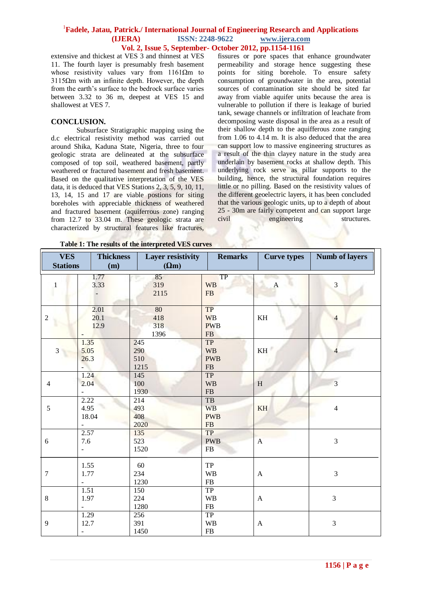extensive and thickest at VES 3 and thinnest at VES 11. The fourth layer is presumably fresh basement whose resistivity values vary from 1161Ωm to 3115Ωm with an infinite depth. However, the depth from the earth's surface to the bedrock surface varies between 3.32 to 36 m, deepest at VES 15 and shallowest at VES 7.

#### **CONCLUSION.**

Subsurface Stratigraphic mapping using the d.c electrical resistivity method was carried out around Shika, Kaduna State, Nigeria, three to four geologic strata are delineated at the subsurface composed of top soil, weathered basement, partly weathered or fractured basement and fresh basement. Based on the qualitative interpretation of the VES data, it is deduced that VES Stations 2, 3, 5, 9, 10, 11, 13, 14, 15 and 17 are viable postions for siting boreholes with appreciable thickness of weathered and fractured basement (aquiferrous zone) ranging from 12.7 to 33.04 m. These geologic strata are characterized by structural features like fractures,

fissures or pore spaces that enhance groundwater permeability and storage hence suggesting these points for siting borehole. To ensure safety consumption of groundwater in the area, potential sources of contamination site should be sited far away from viable aquifer units because the area is vulnerable to pollution if there is leakage of buried tank, sewage channels or infiltration of leachate from decomposing waste disposal in the area as a result of their shallow depth to the aquifferous zone ranging from 1.06 to 4.14 m. It is also deduced that the area can support low to massive engineering structures as a result of the thin clayey nature in the study area underlain by basement rocks at shallow depth. This underlying rock serve as pillar supports to the building, hence, the structural foundation requires little or no pilling. Based on the resistivity values of the different geoelectric layers, it has been concluded that the various geologic units, up to a depth of about 25 - 30m are fairly competent and can support large civil engineering structures.

| <b>VES</b><br><b>Stations</b> | <b>Thickness</b><br>(m)                  | Layer resistivity<br>$(\Omega m)$ | <b>Remarks</b>                                    | <b>Curve types</b> | <b>Numb of layers</b> |
|-------------------------------|------------------------------------------|-----------------------------------|---------------------------------------------------|--------------------|-----------------------|
| $\mathbf{1}$                  | 1.77<br>3.33                             | 85<br>319<br>2115                 | TP<br><b>WB</b><br>${\rm FB}$                     | $\boldsymbol{A}$   | $\mathfrak{Z}$        |
| $\overline{2}$                | 2.01<br>20.1<br>12.9                     | 80<br>418<br>318<br>1396          | <b>TP</b><br><b>WB</b><br><b>PWB</b><br><b>FB</b> | KH                 | 4                     |
| $\overline{3}$                | 1.35<br>5.05<br>26.3                     | 245<br>290<br>510<br>1215         | <b>TP</b><br><b>WB</b><br><b>PWB</b><br>FB        | KH                 | $\overline{4}$        |
| $\overline{4}$                | 1.24<br>2.04                             | 145<br>100<br>1930                | TP<br><b>WB</b><br>${\rm FB}$                     | $\, {\rm H}$       | $\overline{3}$        |
| $\mathfrak{S}$                | 2.22<br>4.95<br>18.04                    | 214<br>493<br>408<br>2020         | TB<br><b>WB</b><br><b>PWB</b><br>${\rm FB}$       | KH                 | $\overline{4}$        |
| 6                             | 2.57<br>7.6<br>$\overline{\phantom{a}}$  | 135<br>523<br>1520                | <b>TP</b><br><b>PWB</b><br>FB                     | $\overline{A}$     | 3                     |
| $\overline{7}$                | 1.55<br>1.77<br>$\bar{\phantom{a}}$      | 60<br>234<br>1230                 | TP<br><b>WB</b><br>${\rm FB}$                     | $\mathbf{A}$       | 3                     |
| $\,8\,$                       | 1.51<br>1.97                             | 150<br>224<br>1280                | <b>TP</b><br><b>WB</b><br>${\rm FB}$              | $\boldsymbol{A}$   | 3                     |
| 9                             | 1.29<br>12.7<br>$\overline{\phantom{a}}$ | 256<br>391<br>1450                | <b>TP</b><br><b>WB</b><br>${\rm FB}$              | $\boldsymbol{A}$   | 3                     |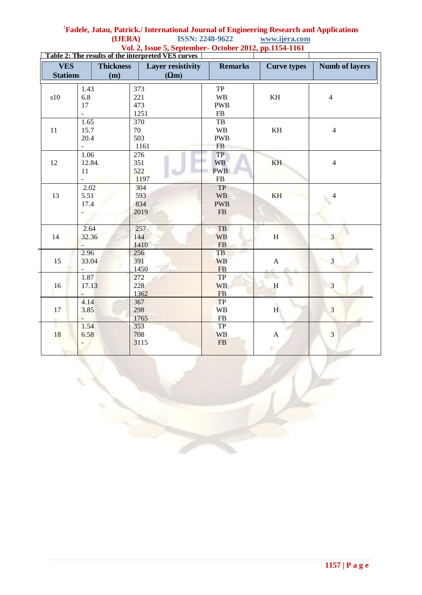|                             |                          |                  | Table 2: The results of the interpreted VES curves |                        |                           |                       |
|-----------------------------|--------------------------|------------------|----------------------------------------------------|------------------------|---------------------------|-----------------------|
| <b>VES</b>                  |                          | <b>Thickness</b> | <b>Layer resistivity</b>                           | <b>Remarks</b>         | <b>Curve types</b>        | <b>Numb of layers</b> |
| <b>Stations</b><br>(m)      |                          |                  | $(\Omega m)$                                       |                        |                           |                       |
|                             | 1.43                     |                  | 373                                                | TP                     |                           |                       |
| $\boldsymbol{\mathrm{s10}}$ | 6.8                      |                  | 221                                                | <b>WB</b>              | $\mathbf{KH}$             | $\overline{4}$        |
|                             | $17\,$                   |                  | 473                                                | <b>PWB</b>             |                           |                       |
|                             | $\overline{\phantom{a}}$ |                  | 1251                                               | ${\rm FB}$             |                           |                       |
|                             | 1.65                     |                  | $\overline{370}$                                   | TB                     |                           |                       |
| 11                          | 15.7                     |                  | 70                                                 | $\mathbf{W}\mathbf{B}$ | $\mathbf{KH}$             | $\overline{4}$        |
|                             | 20.4                     |                  | 503                                                | <b>PWB</b>             |                           |                       |
|                             | $\frac{1}{2}$            |                  | 1161                                               | <b>FB</b>              |                           |                       |
|                             | 1.06                     |                  | 276                                                | <b>TP</b>              |                           |                       |
| 12                          | 12.84.                   |                  | 351                                                | <b>WB</b>              | KH                        | $\overline{4}$        |
|                             | 11                       |                  | 522                                                | <b>PWB</b>             |                           |                       |
|                             | ÷.                       |                  | 1197                                               | <b>FB</b>              |                           |                       |
|                             | 2.02                     |                  | 304                                                | <b>TP</b>              |                           |                       |
| 13                          | 5.51                     |                  | 593                                                | <b>WB</b>              | <b>KH</b>                 | 4                     |
|                             | 17.4                     |                  | 834                                                | <b>PWB</b>             |                           |                       |
|                             |                          |                  | 2019                                               | ${\rm FB}$             |                           |                       |
|                             |                          |                  |                                                    |                        |                           |                       |
|                             | 2.64                     |                  | 257                                                | TB                     |                           |                       |
| 14                          | 32.36                    |                  | 144                                                | <b>WB</b>              | H                         | $\overline{3}$        |
|                             |                          |                  | 1410                                               | ${\rm FB}$             |                           |                       |
|                             | 2.96                     |                  | 256                                                | TB                     |                           |                       |
| 15                          | 33.04                    |                  | 391                                                | <b>WB</b>              | $\mathbf{A}$              | $\overline{3}$        |
|                             |                          |                  | 1450                                               | FB                     |                           |                       |
| 16                          | 1.87                     |                  | 272                                                | <b>TP</b>              |                           |                       |
|                             | 17.13                    |                  | 228                                                | <b>WB</b>              | $\rm H$                   | 3                     |
|                             |                          |                  | 1362                                               | FB                     |                           |                       |
|                             | 4.14                     |                  | 367                                                | TP                     |                           |                       |
| 17                          | 3.85                     |                  | 298                                                | <b>WB</b>              | H                         | 3                     |
|                             | $\overline{a}$           |                  | 1765                                               | ${\rm FB}$             |                           |                       |
| ٠                           | 1.54                     |                  | 353                                                | TP                     |                           |                       |
| 18                          | 6.58                     |                  | 708                                                | <b>WB</b>              | $\boldsymbol{\mathsf{A}}$ | 3                     |
|                             |                          |                  | 3115                                               | ${\rm FB}$             |                           |                       |
|                             |                          |                  |                                                    |                        |                           |                       |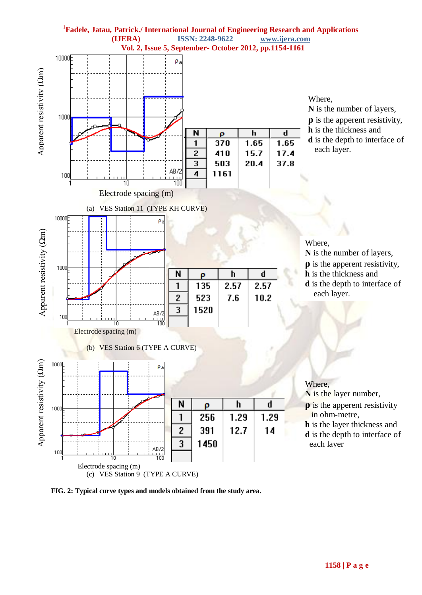

**FIG. 2: Typical curve types and models obtained from the study area.**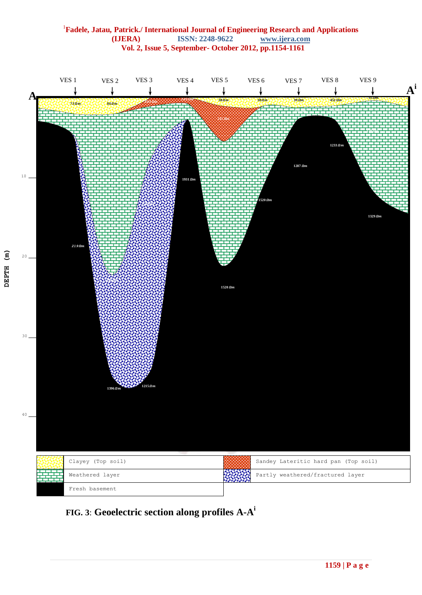

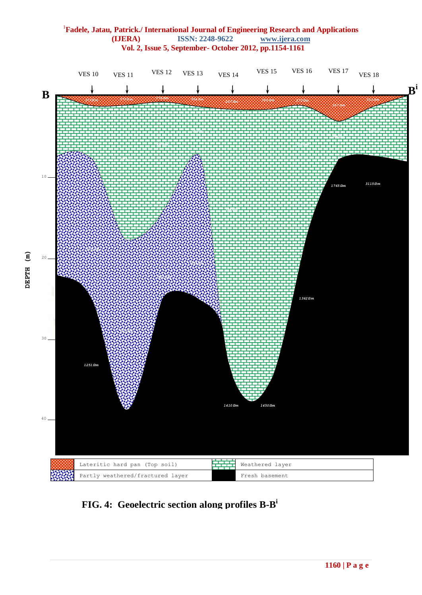

 **FIG. 4: Geoelectric section along profiles B-B i**